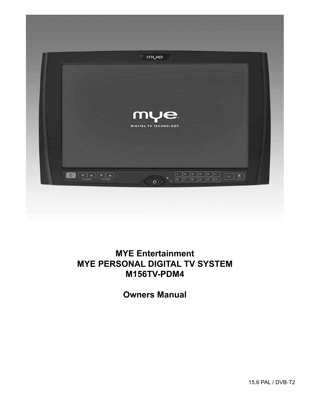

## **MYE Entertainment MYE PERSONAL DIGITAL TV SYSTEM M156TV-PDM4**

**Owners Manual**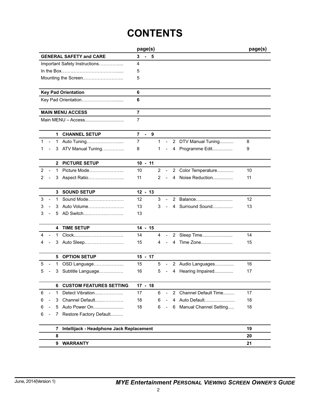# **CONTENTS**

|                                                   |                                          | page(s)        |   |                          |   |                        | page(s) |
|---------------------------------------------------|------------------------------------------|----------------|---|--------------------------|---|------------------------|---------|
| <b>GENERAL SAFETY and CARE</b>                    |                                          | 3<br>- 5       |   |                          |   |                        |         |
|                                                   | Important Safety Instructions            | 4              |   |                          |   |                        |         |
|                                                   |                                          | 5              |   |                          |   |                        |         |
|                                                   |                                          | 5              |   |                          |   |                        |         |
|                                                   |                                          |                |   |                          |   |                        |         |
| <b>Key Pad Orientation</b>                        |                                          | 6              |   |                          |   |                        |         |
|                                                   |                                          | 6              |   |                          |   |                        |         |
| <b>MAIN MENU ACCESS</b>                           |                                          | $\overline{7}$ |   |                          |   |                        |         |
|                                                   | Main MENU - Access                       | $\overline{7}$ |   |                          |   |                        |         |
|                                                   |                                          |                |   |                          |   |                        |         |
|                                                   | 1 CHANNEL SETUP                          | 7<br>$-9$      |   |                          |   |                        |         |
| $\mathbf{1}$<br>1<br>$\qquad \qquad \blacksquare$ | Auto Tuning                              | $\overline{7}$ | 1 | $\frac{1}{2}$            |   | 2 DTV Manual Tuning    | 8       |
| 3<br>1                                            | ATV Manual Tuning                        | 8              | 1 | $\overline{\phantom{0}}$ |   | 4 Programme Edit       | 9       |
|                                                   |                                          |                |   |                          |   |                        |         |
| $\mathbf{2}$                                      | <b>PICTURE SETUP</b>                     | $10 - 11$      |   |                          |   |                        |         |
| 2<br>1                                            | Picture Mode                             | 10             | 2 | $\overline{\phantom{a}}$ |   | 2 Color Temperature    | 10      |
| 2<br>3                                            | Aspect Ratio                             | 11             | 2 |                          | 4 | Noise Reduction        | 11      |
|                                                   |                                          |                |   |                          |   |                        |         |
| 3                                                 | <b>SOUND SETUP</b>                       | $12 - 13$      |   |                          |   |                        |         |
| 3<br>1.<br>$\overline{\phantom{0}}$               | Sound Mode                               | 12             | 3 | $\overline{\phantom{a}}$ |   | 2 Balance              | 12      |
| 3<br>3                                            | Auto Volume                              | 13             | 3 | $\overline{a}$           |   | 4 Surround Sound       | 13      |
| 5<br>3                                            | AD Switch                                | 13             |   |                          |   |                        |         |
|                                                   |                                          |                |   |                          |   |                        |         |
| <b>TIME SETUP</b><br>4                            |                                          | $14 - 15$      |   |                          |   |                        |         |
| 4<br>1.                                           |                                          | 14             | 4 | $\overline{\phantom{a}}$ | 2 | Sleep Time             | 14      |
| 4                                                 | 3 Auto Sleep                             | 15             | 4 | $\overline{a}$           | 4 | Time Zone              | 15      |
| 5.                                                | <b>OPTION SETUP</b>                      | $15 - 17$      |   |                          |   |                        |         |
| 5<br>$\mathbf{1}$                                 | OSD Language                             | 15             | 5 | $\sim$                   |   | 2 Audio Languages      | 16      |
| 5<br>3 <sup>7</sup>                               | Subtitle Language                        | 16             |   |                          |   | 5 - 4 Hearing Impaired | 17      |
|                                                   |                                          |                |   |                          |   |                        |         |
| 6                                                 | <b>CUSTOM FEATURES SETTING</b>           | $17 - 18$      |   |                          |   |                        |         |
| 6<br>1<br>$\qquad \qquad \blacksquare$            | Detect Vibration                         | 17             | 6 | $\overline{\phantom{a}}$ |   | 2 Channel Default Time | 17      |
| 6<br>3                                            | Channel Default                          | 18             | 6 |                          |   | 4 Auto Default         | 18      |
| 5<br>6                                            | Auto Power On                            | 18             | 6 | $\overline{\phantom{0}}$ | 6 | Manual Channel Setting | 18      |
| 6<br>7                                            | Restore Factory Default                  |                |   |                          |   |                        |         |
|                                                   |                                          |                |   |                          |   |                        |         |
| 7                                                 | Intellijack - Headphone Jack Replacement |                |   |                          |   |                        | 19      |
| 8                                                 |                                          |                |   |                          |   |                        | 20      |
| <b>WARRANTY</b><br>9                              |                                          |                |   |                          |   |                        | 21      |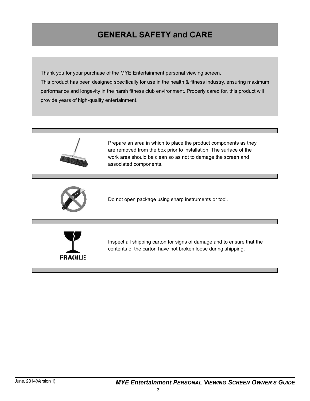## **GENERAL SAFETY and CARE**

Thank you for your purchase of the MYE Entertainment personal viewing screen. This product has been designed specifically for use in the health & fitness industry, ensuring maximum performance and longevity in the harsh fitness club environment. Properly cared for, this product will provide years of high-quality entertainment.

associated components.



Prepare an area in which to place the product components as they are removed from the box prior to installation. The surface of the work area should be clean so as not to damage the screen and

Do not open package using sharp instruments or tool.



Inspect all shipping carton for signs of damage and to ensure that the contents of the carton have not broken loose during shipping.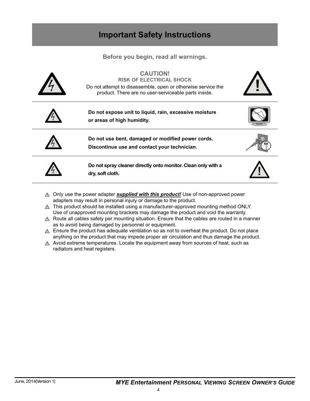## **Important Safety Instructions**

**Before you begin, read all warnings.**



- Only use the power adapter *supplied with this product!* Use of non-approved power adapters may result in personal injury or damage to the product.
- $\triangle$  This product should be installed using a manufacturer-approved mounting method ONLY. Use of unapproved mounting brackets may damage the product and void the warranty.
- $\triangle$  Route all cables safely per mounting situation. Ensure that the cables are routed in a manner as to avoid being damaged by personnel or equipment.
- $\triangle$  Ensure the product has adequate ventilation so as not to overheat the product. Do not place anything on the product that may impede proper air circulation and thus damage the product.
- $\triangle$  Avoid extreme temperatures. Locate the equipment away from sources of heat, such as radiators and heat registers.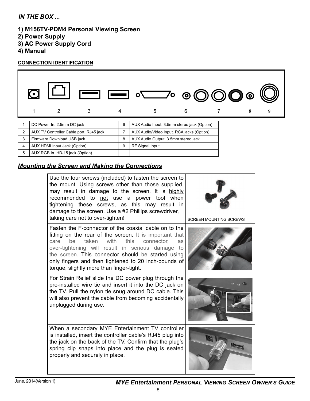## *IN THE BOX ...*

## **1) M156TV-PDM4 Personal Viewing Screen**

- **2) Power Supply**
- **3) AC Power Supply Cord**
- **4) Manual**

### **CONNECTION IDENTIFICATION**



## *Mounting the Screen and Making the Connections*

| Use the four screws (included) to fasten the screen to<br>the mount. Using screws other than those supplied,<br>may result in damage to the screen. It is highly<br>recommended to not use a power tool when<br>tightening these screws, as this may result in<br>damage to the screen. Use a #2 Phillips screwdriver,                                                                           |                               |
|--------------------------------------------------------------------------------------------------------------------------------------------------------------------------------------------------------------------------------------------------------------------------------------------------------------------------------------------------------------------------------------------------|-------------------------------|
| taking care not to over-tighten!                                                                                                                                                                                                                                                                                                                                                                 | <b>SCREEN MOUNTING SCREWS</b> |
| Fasten the F-connector of the coaxial cable on to the<br>fitting on the rear of the screen. It is important that<br>with<br>this connector,<br>he<br>taken<br>care<br><b>as</b><br>over-tightening will result in serious damage<br>to<br>the screen. This connector should be started using<br>only fingers and then tightened to 20 inch-pounds of<br>torque, slightly more than finger-tight. |                               |
| For Strain Relief slide the DC power plug through the<br>pre-installed wire tie and insert it into the DC jack on<br>the TV. Pull the nylon tie snug around DC cable. This<br>will also prevent the cable from becoming accidentally<br>unplugged during use.                                                                                                                                    |                               |
| When a secondary MYE Entertainment TV controller<br>is installed, insert the controller cable's RJ45 plug into<br>the jack on the back of the TV. Confirm that the plug's<br>spring clip snaps into place and the plug is seated<br>properly and securely in place.                                                                                                                              |                               |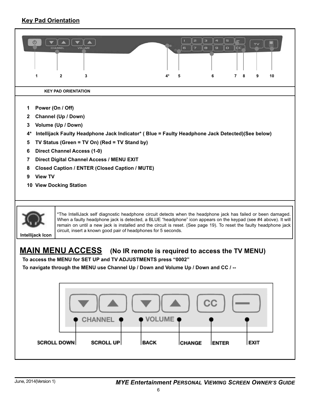## **Key Pad Orientation**

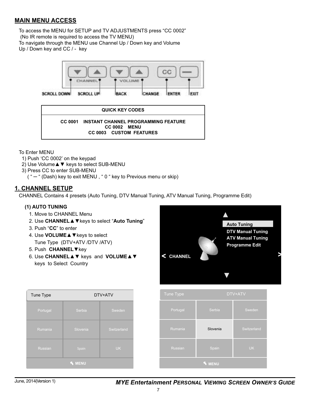### **MAIN MENU ACCESS**

To access the MENU for SETUP and TV ADJUSTMENTS press "CC 0002" (No IR remote is required to access the TV MENU) To navigate through the MENU use Channel Up / Down key and Volume Up / Down key and CC / - key



| QUICK KEY CODES |                                                                                                      |  |  |  |  |
|-----------------|------------------------------------------------------------------------------------------------------|--|--|--|--|
|                 | CC 0001 INSTANT CHANNEL PROGRAMMING FEATURE<br><b>CC 0002 MENU</b><br><b>CC 0003 CUSTOM FEATURES</b> |  |  |  |  |

To Enter MENU

1) Push 'CC 0002' on the keypad

2) Use Volume **V** keys to select SUB-MENU

3) Press CC to enter SUB-MENU

 $($  " $-$  " (Dash) key to exit MENU, "0 " key to Previous menu or skip)

#### **1. CHANNEL SETUP**

CHANNEL Contains 4 presets (Auto Tuning, DTV Manual Tuning, ATV Manual Tuning, Programme Edit)

#### **(1) AUTO TUNING**

- 1. Move to CHANNEL Menu
- 2. Use CHANNEL▲▼keys to select "Auto Tuning"
- 3. Push "CC" to enter
- 4. Use VOLUME **A** ▼ keys to select Tune Type (DTV+ATV /DTV /ATV)
- 5. Push **CHANNEL** Vkey
- 6. Use CHANNEL<sup>*i*</sup> v keys and VOLUME<sup>*A*</sup> keys to Select Country

|                     | <b>Auto Tuning</b>       |
|---------------------|--------------------------|
|                     | <b>DTV Manual Tuning</b> |
|                     | <b>ATV Manual Tuning</b> |
|                     | <b>Programme Edit</b>    |
| <b>CHANNEL</b><br>ಆ |                          |
|                     |                          |

| Tune Type      | DTV+ATV  |             |  |
|----------------|----------|-------------|--|
| Portugal       | Serbia   | Sweden      |  |
| Rumania        | Slovenia | Switzerland |  |
| <b>Russian</b> | Spain    | <b>UK</b>   |  |
| <b>A MENU</b>  |          |             |  |

| Tune Type   | DTV+ATV  |             |  |  |
|-------------|----------|-------------|--|--|
| Portugal    | Serbia   | Sweden      |  |  |
| Rumania     | Slovenia | Switzerland |  |  |
| Russian     | Spain    | <b>UK</b>   |  |  |
| <b>MENU</b> |          |             |  |  |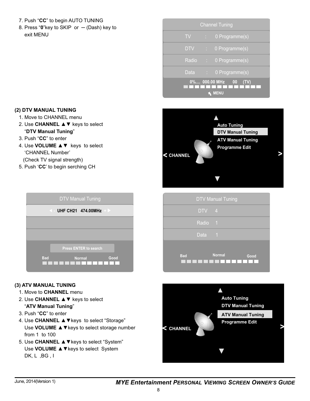#### 7. Push "CC" to begin AUTO TUNING

8. Press "0"key to SKIP or  $-$  (Dash) key to exit MENU

| <b>Channel Tuning</b>                                   |            |                                                           |                             |  |
|---------------------------------------------------------|------------|-----------------------------------------------------------|-----------------------------|--|
| <b>TV</b>                                               |            | $\mathcal{I}^{\mathcal{I}}$ , $\mathcal{I}^{\mathcal{I}}$ | 0 Programme(s)              |  |
|                                                         | <b>DTV</b> |                                                           | : 0 Programme(s)            |  |
|                                                         | Radio      |                                                           | $\therefore$ 0 Programme(s) |  |
|                                                         | Data       |                                                           | $\therefore$ 0 Programme(s) |  |
| 0% 000.00 MHz<br>$\overline{00}$<br>(TV)<br><b>MENU</b> |            |                                                           |                             |  |

#### **(2) DTV MANUAL TUNING** 1. Move to CHANNEL menu

- 
- 2. Use **CHANNEL A**▼ keys to select ³**DTV Manual Tuning**´
- 3. Push "CC" to enter
- 4. Use VOLUME **A** ▼ keys to select 'CHANNEL Number'
- (Check TV signal strength)
- 5. Push 'CC' to begin serching CH







#### **(3) ATV MANUAL TUNING**

- 1. Move to **CHANNEL** menu
- 2. Use **CHANNEL A**▼ keys to select ³**ATV Manual Tuning**´
- 3. Push "CC" to enter
- 4. Use **CHANNEL ▲ V**keys to select "Storage" Use VOLUME **▲ ▼** keys to select storage number from 1 to 100
- 5. Use CHANNEL **▲ ▼**keys to select "System" Use VOLUME **▲ ▼**keys to select System DK, L, BG, I

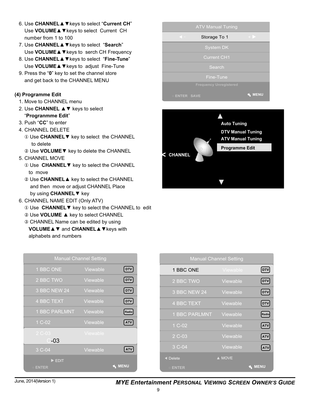- **6. Use CHANNEL▲ ▼ keys to select "Current CH"** Use VOLUME<sup>*▲* ▼ keys to select Current CH</sup> number from 1 to 100
- 7. Use CHANNEL▲ **▼** keys to select "Search" Use VOLUME<sup>*A*</sup> Vkeys to serch CH Frequency
- 8. Use CHANNEL▲▼keys to select "Fine-Tune" Use VOLUME<sup>*A*</sup> Vkeys to adjust Fine-Tune
- 9. Press the "0" key to set the channel store and get back to the CHANNEL MENU

#### **(4) Programme Edit**

- 1. Move to CHANNEL menu
- 2. Use **CHANNEL ▲ ▼** keys to select ³**Progranmme Edit**´
- 3. Push "CC" to enter
- 4. CHANNEL DELETE
	- ① Use CHANNEL▼ key to select the CHANNEL to delete
	- 2 Use VOLUME ▼ key to delete the CHANNEL

#### 5. CHANNEL MOVE

- ① Use CHANNEL**V** key to select the CHANNEL to move
- 2 Use CHANNEL▲ key to select the CHANNEL and then move or adjust CHANNEL Place by using **CHANNEL** v key
- 6. CHANNEL NAME EDIT (Only ATV)
	- ① Use CHANNEL**V** key to select the CHANNEL to edit
	- **2 Use VOLUME ▲ key to select CHANNEL**
	- 3 CHANNEL Name can be edited by using
	- **VOLUME ▲ ▼ and CHANNEL ▲ ▼ keys with** alphabets and numbers

|                                             | <b>Manual Channel Setting</b> |                             |
|---------------------------------------------|-------------------------------|-----------------------------|
| 1 BBC ONE                                   | Viewable                      | $[$ DTV $]$                 |
| 2 BBC TWO                                   | Viewable                      | $[\overline{\texttt{DTV}}]$ |
| <b>3 BBC NEW 24</b>                         | Viewable                      | $[$ DTV                     |
| 4 BBC TEXT                                  | Viewable                      | $[$ DTV $]$                 |
| <b>1 BBC PARLMNT</b>                        | Viewable                      | Radio                       |
| $1 C-02$                                    | Viewable                      | <b>ATV</b>                  |
| $2 C-03$<br>-03                             | Viewable                      |                             |
| 3 C-04                                      | Viewable                      | AT\                         |
| $\blacktriangleright$ EDIT<br>$\circ$ ENTER |                               | <b>MENU</b>                 |





| <b>Manual Channel Setting</b> |          |             |  |  |
|-------------------------------|----------|-------------|--|--|
| 1 BBC ONE                     | Viewable | DTV         |  |  |
| 2 BBC TWO                     | Viewable | $[$ DTV $]$ |  |  |
| <b>3 BBC NEW 24</b>           | Viewable | [DTV]       |  |  |
| 4 BBC TEXT                    | Viewable | $[$ DTV $]$ |  |  |
| 1 BBC PARLMNT                 | Viewable | Radio       |  |  |
| $1 C-02$                      | Viewable | <b>ATV</b>  |  |  |
| $2 C-03$                      | Viewable | <b>ATV</b>  |  |  |
| 3 C-04                        | Viewable | <b>ATV</b>  |  |  |
| ◀ Delete                      | A MOVE   |             |  |  |
| $\circ$ ENTER                 |          | <b>MENU</b> |  |  |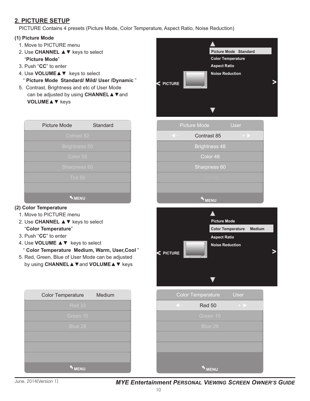## **2. PICTURE SETUP**

PICTURE Contains 4 presets (Picture Mode, Color Temperature, Aspect Ratio, Noise Reduction)

#### **(1) Picture Mode**

- 1. Move to PICTURE menu
- 2. Use **CHANNEL** ▲ ▼ keys to select "**Picture Mode**"
- 3. Push "**CC**" to enter
- 4. Use VOLUME<sup>*A*</sup> v keys to select
- " **Picture Mode Standard/ Mild/ User /Dynamic** "
- 5. Contrast, Brightness and etc of User Mode can be adjusted by using **CHANNEL** ▲ ▼ and **VOLUME▲▼** keys

| Picture Mode      | Standard             |  |  |
|-------------------|----------------------|--|--|
| <b>Cotrast 82</b> |                      |  |  |
|                   | <b>Brightness 50</b> |  |  |
| Color 55          |                      |  |  |
| Sharpness 60      |                      |  |  |
| Tint 50           |                      |  |  |
|                   |                      |  |  |
| <b>MENU</b>       |                      |  |  |

#### **(2) Color Temperature**

- 1. Move to PICTURE menu
- 2. Use **CHANNEL** ▲ ▼ keys to select "**Color Temperature**"
- 3. Push "**CC**" to enter
- 4. Use VOLUME **A**▼ keys to select " **Color Temperature Medium, Warm, User,Cool** "
- 5. Red, Green, Blue of User Mode can be adjusted by using CHANNEL▲ Vand VOLUME▲ V keys

| <b>Color Temperature</b> | Medium |
|--------------------------|--------|
| <b>Red 33</b>            |        |
| Green 10                 |        |
| Blue 28                  |        |
|                          |        |
|                          |        |
|                          |        |
| <b>MENU</b>              |        |





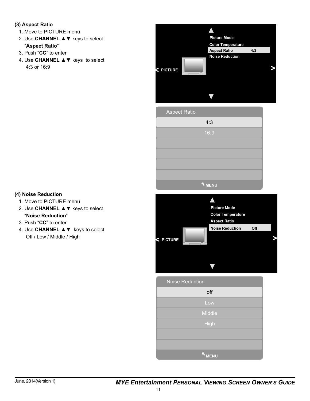- **(3) Aspect Ratio**
	- 1. Move to PICTURE menu
	- 2. Use **CHANNEL** ▲ ▼ keys to select ³**Aspect Ratio**´
	- 3. Push "CC" to enter
	- 4. Use **CHANNEL A**▼ keys to select 4:3 or 16:9



**(4) Noise Reduction**

- 1. Move to PICTURE menu
- 2. Use **CHANNEL A**▼ keys to select ³**Noise Reduction**´
- 3. Push "CC" to enter
- 4. Use **CHANNEL A**▼ keys to select Off / Low / Middle / High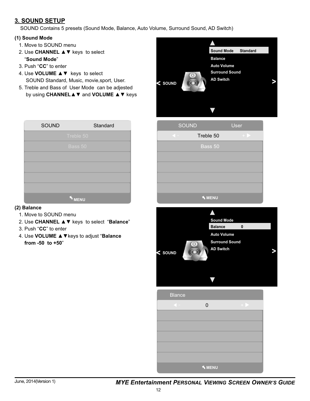## **3. SOUND SETUP**

SOUND Contains 5 presets (Sound Mode, Balance, Auto Volume, Surround Sound, AD Switch)

#### **(1) Sound Mode**

- 1. Move to SOUND menu
- 2. Use **CHANNEL ▲ ▼** keys to select ³**Sound Mode**´
- 3. Push "CC" to enter
- 4. Use VOLUME **A** ▼ keys to select SOUND Standard, Music, movie, sport, User.
- 5. Treble and Bass of User Mode can be adjested by using **CHANNEL** ▲ ▼ and **VOLUME** ▲ ▼ keys

| <b>SOUND</b> | Standard    |
|--------------|-------------|
|              | Treble 50   |
|              | Bass 50     |
|              |             |
|              |             |
|              |             |
|              |             |
|              | <b>MENU</b> |

#### **(2) Balance**

- 1. Move to SOUND menu
- 2. Use CHANNEL **A**▼ keys to select "Balance"
- 3. Push "CC" to enter
- 4. Use VOLUME **▲ V** keys to adjust "Balance  **from -50 to +50**´



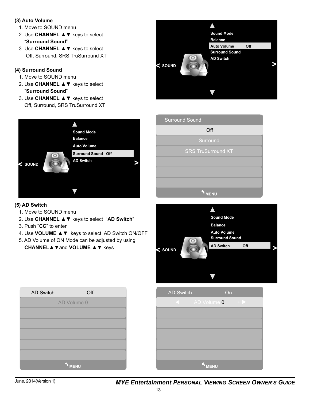#### **(3) Auto Volume**

- 1. Move to SOUND menu
- 2. Use **CHANNEL** ▲▼ keys to select ³**Surround Sound**´
- 3. Use **CHANNEL A**▼ keys to select Off, Surround, SRS TruSurround XT

#### **(4) Surround Sound**

- 1. Move to SOUND menu
- 2. Use **CHANNEL A**▼ keys to select ³**Surround Sound**´
- 3. Use **CHANNEL** ▲ ▼ keys to select Off, Surround, SRS TruSurround XT



#### **(5) AD Switch**

- 1. Move to SOUND menu
- 2. Use CHANNEL **A**▼ keys to select "AD Switch"
- 3. Push "CC" to enter
- 4. Use VOLUME **A** ▼ keys to select AD Switch ON/OFF
- 5. AD Volume of ON Mode can be adjusted by using **CHANNEL▲ ▼and VOLUME ▲ ▼ keys**

| <b>AD Switch</b> | Off           |
|------------------|---------------|
|                  | AD Volume 0   |
|                  |               |
|                  |               |
|                  |               |
|                  |               |
|                  |               |
|                  | <b>S</b> MENU |



| <b>Surround Sound</b>     |
|---------------------------|
| Off                       |
| Surround                  |
| <b>SRS TruSurround XT</b> |
|                           |
|                           |
|                           |
| <b>MENU</b>               |
|                           |



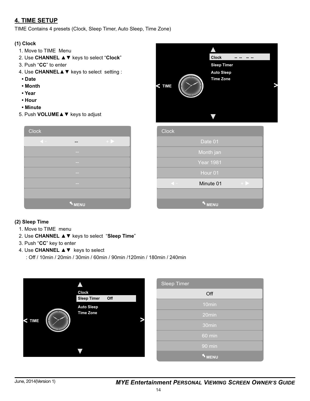## **4. TIME SETUP**

TIME Contains 4 presets (Clock, Sleep Timer, Auto Sleep, Time Zone)

#### **(1) Clock**

- 1. Move to TIME Menu
- 2. Use CHANNEL **▲▼** keys to select "Clock"
- 3. Push "CC" to enter
- 4. Use **CHANNEL** ▲ ▼ keys to select setting :
- **Date**
- **Month**
- **Year**
- **Hour**
- **Minute**
- 5. Push VOLUME **A** ▼ keys to adjust

| Clock                  |                          |                      |
|------------------------|--------------------------|----------------------|
| $\blacktriangleleft$ - |                          | $+$ $\triangleright$ |
|                        | $\overline{\phantom{a}}$ |                      |
|                        | $\sim$                   |                      |
|                        | $\sim$                   |                      |
|                        | --                       |                      |
|                        |                          |                      |
|                        | <b>K</b> MENU            |                      |

|             | <b>Clock</b>       |  |  |
|-------------|--------------------|--|--|
|             | <b>Sleep Timer</b> |  |  |
|             | <b>Auto Sleep</b>  |  |  |
| <b>TIME</b> | <b>Time Zone</b>   |  |  |
|             |                    |  |  |
| Clock       |                    |  |  |
|             | Date 01            |  |  |
|             | Month jan          |  |  |
|             | <b>Year 1981</b>   |  |  |

Hour 01

Minute 01

**MENU**

#### **(2) Sleep Time**

- 1. Move to TIME menu
- 2. Use **CHANNEL ▲ ▼** keys to select "Sleep Time"
- 3. Push "CC" key to enter
- 4. Use **CHANNEL A**▼ keys to select
	- : Off / 10min / 20min / 30min / 60min / 90min /120min / 180min / 240min



| <b>Sleep Timer</b> |
|--------------------|
| Off                |
| $10$ min           |
| 20min              |
| $30$ min           |
| 60 min             |
| 90 min             |
| <b>MENU</b>        |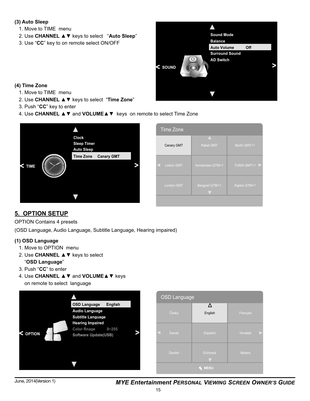#### **(3) Auto Sleep**

- 1. Move to TIME menu
- 2. Use **CHANNEL ▲ ▼** keys to select "Auto Sleep"
- 3. Use "CC" key to on remote select ON/OFF



#### **(4) Time Zone**

- 1. Move to TIME menu
- 2. Use CHANNEL **▲ ▼** keys to select "Time Zone"
- 3. Push "CC" key to enter
- 4. Use CHANNEL **A** ▼ and VOLUME**A** ▼ keys on remote to select Time Zone



| <b>Time Zone</b>  |                  |                    |
|-------------------|------------------|--------------------|
| Canary GMT        | <b>Rabat GMT</b> | Berlin GMT+1       |
| <b>Lisbon GMT</b> | Amsterdam GTM+1  | <b>TUNIS GMT+1</b> |
| <b>London GMT</b> | Beograd GTM+1    | Algiers GTM+1      |
|                   |                  |                    |

## **5. OPTION SETUP**

#### OPTION Contains 4 presets

(OSD Language, Audio Language, Subtitle Language, Hearing impaired)

#### **(1) OSD Language**

- 1. Move to OPTION menu
- 2. Use **CHANNEL A**▼ keys to select

#### ³**OSD Language**´

- 3. Push "CC" to enter
- 4. Use CHANNEL **A** ▼ and VOLUME **A** ▼ keys on remote to select language



| <b>OSD Language</b> |              |          |  |
|---------------------|--------------|----------|--|
| Česky               | Λ<br>English | Français |  |
| <b>Dansk</b><br>E.  | Español      | Hrvatski |  |
| <b>Deutsh</b>       | Ελληνικά     | Italiano |  |
| <b>MENU</b>         |              |          |  |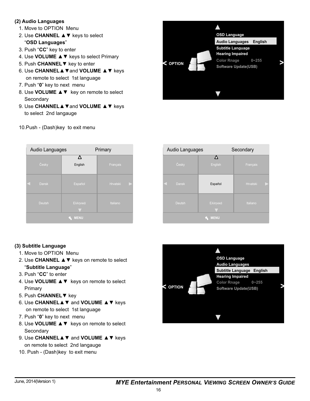#### **(2) Audio Languages**

- 1. Move to OPTION Menu
- 2. Use **CHANNEL A**▼ keys to select ³**OSD Languages**´
- 3. Push "CC" key to enter
- 4. Use VOLUME **A** ▼ keys to select Primary
- 5. Push **CHANNEL**▼ key to enter
- 6. Use CHANNEL **A** ▼ and VOLUME **A ▼** keys on remote to select 1st language
- 7. Push "0" key to next menu
- 8. Use VOLUME **A**▼ key on remote to select **Secondary**
- 9. Use CHANNEL **A** ▼ and VOLUME **A** ▼ keys to select 2nd langauge

| Audio Languages |              | Primary  |  |
|-----------------|--------------|----------|--|
| Česky           | Λ<br>English | Français |  |
| <b>Dansk</b>    | Español      | Hrvatski |  |
| <b>Deutsh</b>   | Ελληνικά     | Italiano |  |
| <b>MENU</b>     |              |          |  |

#### 10.Push - (Dash)key to exit menu

#### **(3) Subtitle Language**

- 1. Move to OPTION Menu
- 2. Use **CHANNEL ▲ ▼** keys on remote to select ³**Subtitle Language**´
- 3. Push "CC" to enter
- 4. Use VOLUME **A** ▼ keys on remote to select Primary
- 5. Push **CHANNEL**▼ key
- 6. Use CHANNEL **A** ▼ and VOLUME **A ▼** keys on remote to select 1st language
- 7. Push "0" key to next menu
- 8. Use VOLUME **A** ▼ keys on remote to select **Secondary**
- 9. Use CHANNEL **A** ▼ and VOLUME **A** ▼ keys on remote to select 2nd langauge
- 10. Push (Dash)key to exit menu



| Audio Languages |              | Secondary       |
|-----------------|--------------|-----------------|
| Česky           | Δ<br>English | Français        |
| <b>Dansk</b>    | Español      | <b>Hrvatski</b> |
| <b>Deutsh</b>   | Ελληνικά     | Italiano        |
| <b>MENU</b>     |              |                 |

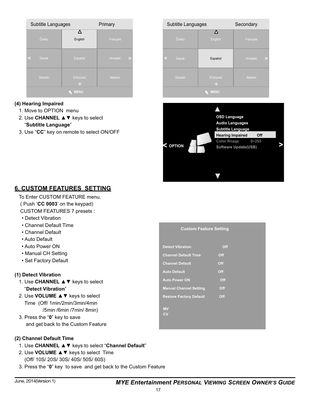| Subtitle Languages |              | Primary  |  |
|--------------------|--------------|----------|--|
| Česky              | Δ<br>English | Français |  |
| <b>Dansk</b>       | Español      | Hrvatski |  |
| <b>Deutsh</b>      | Ελληνικά     | Italiano |  |
| <b>MENU</b>        |              |          |  |

#### **(4) Hearing Impaired**

- 1. Move to OPTION menu
- 2. Use **CHANNEL A**▼ keys to select ³**Subtitle Language**´
- 3. Use "CC" key on remote to select ON/OFF

| Subtitle Languages |              | Secondary |
|--------------------|--------------|-----------|
| Česky              | Δ<br>English | Français  |
| <b>Dansk</b>       | Español      | Hrvatski  |
| <b>Deutsh</b>      | Ελληνικά     | Italiano  |
| <b>MENU</b>        |              |           |



## **6. CUSTOM FEATURES SETTING**

To Enter CUSTOM FEATURE menu. ( Push 'CC 0003' on the keypad) CUSTOM FEATURES 7 presets :

- Detect Vibration
- Channel Default Time
- Channel Default
- Auto Default
- Auto Power ON
- Manual CH Setting
- Set Factory Default

#### **(1) Detect Vibration**

- 1. Use **CHANNEL A**▼ keys to select ³**Detect Vibration**´
- 2. Use VOLUME **A** ▼ keys to select Time (Off/ 1min/2min/3min/4min /5min /6min /7min/ 8min)
- 3. Press the "0" key to save and get back to the Custom Feature

#### **(2) Channel Default Time**

- 1. Use CHANNEL **A ▼** keys to select "Channel Default"
- 2. Use VOLUME **A** ▼ keys to select Time (Off/ 10S/ 20S/ 30S/ 40S/ 50S/ 60S)
- 3. Press the "0" key to save and get back to the Custom Feature

**Custom Feature Setting**

**Detect Vibration Contract Off Channel Default Time Off Channel Default Channel Default Auto Default Off Auto Power ON Off Manual Channel Setting Off Restore Factory Default Off**

**MV CV**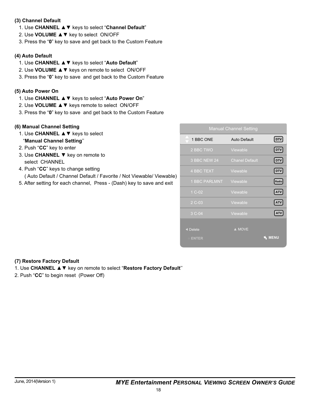#### **(3) Channel Default**

- 1. Use CHANNEL **A** ▼ keys to select "Channel Default"
- 2. Use **VOLUME A** ▼ key to select ON/OFF
- 3. Press the "0" key to save and get back to the Custom Feature

#### **(4) Auto Default**

- 1. Use CHANNEL **▲ ▼** keys to select "Auto Default"
- 2. Use VOLUME **A** ▼ keys on remote to select ON/OFF
- 3. Press the "0" key to save and get back to the Custom Feature

#### **(5) Auto Power On**

- 1. Use CHANNEL **A**▼ keys to select "Auto Power On"
- 2. Use VOLUME **A** ▼ keys remote to select ON/OFF
- 3. Press the "0" key to save and get back to the Custom Feature

#### **(6) Manual Channel Setting**

- 1. Use **CHANNEL A**▼ keys to select **"Manual Channel Setting"**
- 2. Push "CC" key to enter
- 3. Use **CHANNEL** ▼ key on remote to select CHANNEL
- 4. Push "CC" keys to change setting
	- ( Auto Default / Channel Default / Favorite / Not Viewable/ Viewable)
- 5. After setting for each channel, Press (Dash) key to save and exit

| <b>Manual Channel Setting</b> |                       |                             |  |
|-------------------------------|-----------------------|-----------------------------|--|
| 1 BBC ONE                     | <b>Auto Default</b>   | $[$ DTV $]$                 |  |
| 2 BBC TWO                     | Viewable              | $[$ DTV $]$                 |  |
| 3 BBC NEW 24                  | <b>Chanel Default</b> | $[$ DTV $]$                 |  |
| 4 BBC TEXT                    | Viewable              | $[$ DTV                     |  |
| <b>1 BBC PARLMNT</b>          | Viewable              | Radio                       |  |
| 1 C-02                        | Viewable              | <b>ATV</b>                  |  |
| 2 C-03                        | Viewable              | $\boldsymbol{\mathsf{ATV}}$ |  |
| 3 C-04                        | Viewable              | <b>ATV</b>                  |  |
| ◀ Delete<br><b>O ENTER</b>    | A MOVE                | <b>MENU</b>                 |  |
|                               |                       |                             |  |

#### **(7) Restore Factory Default**

- 1. Use CHANNEL **A ▼** key on remote to select "Restore Factory Default"
- 2. Push "CC" to begin reset (Power Off)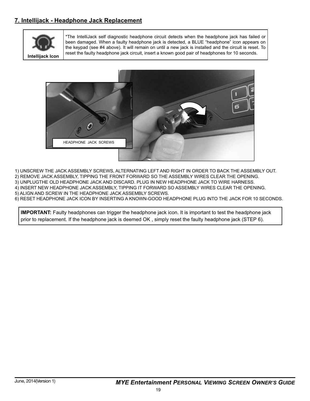## **7. Intellijack - Headphone Jack Replacement**



\*The IntelliJack self diagnostic headphone circuit detects when the headphone jack has failed or been damaged. When a faulty headphone jack is detected, a BLUE "headphone" icon appears on the keypad (see #4 above). It will remain on until a new jack is installed and the circuit is reset. To reset the faulty headphone jack circuit, insert a known good pair of headphones for 10 seconds.



- 1) UNSCREW THE JACK ASSEMBLY SCREWS, ALTERNATING LEFT AND RIGHT IN ORDER TO BACK THE ASSEMBLY OUT.
- 2) REMOVE JACK ASSEMBLY, TIPPING THE FRONT FORWARD SO THE ASSEMBLY WIRES CLEAR THE OPENING.
- 3) UNPLUGTHE OLD HEADPHONE JACK AND DISCARD. PLUG IN NEW HEADPHONE JACK TO WIRE HARNESS.
- 4) INSERT NEW HEADPHONE JACK ASSEMBLY, TIPPING IT FORWARD SO ASSEMBLY WIRES CLEAR THE OPENING. 5) ALIGN AND SCREW IN THE HEADPHONE JACK ASSEMBLY SCREWS.
- 6) RESET HEADPHONE JACK ICON BY INSERTING A KNOWN-GOOD HEADPHONE PLUG INTO THE JACK FOR 10 SECONDS.

**IMPORTANT:** Faulty headphones can trigger the headphone jack icon. It is important to test the headphone jack prior to replacement. If the headphone jack is deemed OK, simply reset the faulty headphone jack (STEP 6).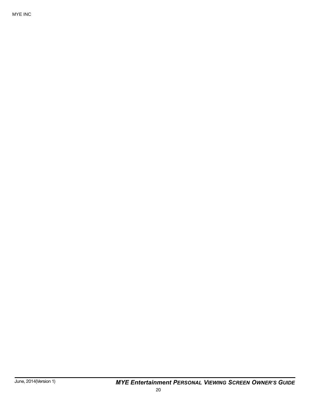MYE INC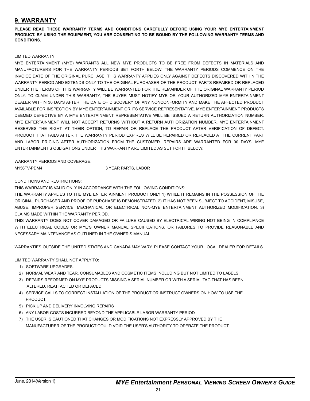### **9. WARRANTY**

**PLEASE READ THESE WARRANTY TERMS AND CONDITIONS CAREFULLY BEFORE USING YOUR MYE ENTERTAINMENT PRODUCT. BY USING THE EQUIPMENT, YOU ARE CONSENTING TO BE BOUND BY THE FOLLOWING WARRANTY TERMS AND CONDITIONS.**

#### LIMITED WARRANTY

MYE ENTERTAINMENT (MYE) WARRANTS ALL NEW MYE PRODUCTS TO BE FREE FROM DEFECTS IN MATERIALS AND MANUFACTURERS FOR THE WARRANTY PERIODS SET FORTH BELOW. THE WARRANTY PERIODS COMMENCE ON THE INVOICE DATE OF THE ORIGINAL PURCHASE. THIS WARRANTY APPLIES ONLY AGAINST DEFECTS DISCOVERED WITHIN THE WARRANTY PERIOD AND EXTENDS ONLY TO THE ORIGINAL PURCHASER OF THE PRODUCT. PARTS REPAIRED OR REPLACED UNDER THE TERMS OF THIS WARRANTY WILL BE WARRANTED FOR THE REMAINDER OF THE ORIGINAL WARRANTY PERIOD ONLY. TO CLAIM UNDER THIS WARRANTY, THE BUYER MUST NOTIFY MYE OR YOUR AUTHORIZED MYE ENTERTAINMENT DEALER WITHIN 30 DAYS AFTER THE DATE OF DISCOVERY OF ANY NONCONFORMITY AND MAKE THE AFFECTED PRODUCT AVAILABLE FOR INSPECTION BY MYE ENTERTAINMENT OR ITS SERVICE REPRESENTATIVE. MYE ENTERTAINMENT PRODUCTS DEEMED DEFECTIVE BY A MYE ENTERTAINMENT REPRESENTATIVE WILL BE ISSUED A RETURN AUTHORIZATION NUMBER. MYE ENTERTAINMENT WILL NOT ACCEPT RETURNS WITHOUT A RETURN AUTHORIZATION NUMBER. MYE ENTERTAINMENT RESERVES THE RIGHT, AT THEIR OPTION, TO REPAIR OR REPLACE THE PRODUCT AFTER VERIFICATION OF DEFECT. PRODUCT THAT FAILS AFTER THE WARRANTY PERIOD EXPIRES WILL BE REPAIRED OR REPLACED AT THE CURRENT PART AND LABOR PRICING AFTER AUTHORIZATION FROM THE CUSTOMER. REPAIRS ARE WARRANTED FOR 90 DAYS. MYE ENTERTAINMENT'S OBLIGATIONS UNDER THIS WARRANTY ARE LIMITED AS SET FORTH BELOW:

WARRANTY PERIODS AND COVERAGE:

M156TV-PDM4 3 YEAR PARTS, LABOR

CONDITIONS AND RESTRICTIONS:

THIS WARRANTY IS VALID ONLY IN ACCORDANCE WITH THE FOLLOWING CONDITIONS:

THE WARRANTY APPLIES TO THE MYE ENTERTAINMENT PRODUCT ONLY 1) WHILE IT REMAINS IN THE POSSESSION OF THE ORIGINAL PURCHASER AND PROOF OF PURCHASE IS DEMONSTRATED. 2) IT HAS NOT BEEN SUBJECT TO ACCIDENT, MISUSE, ABUSE, IMPROPER SERVICE, MECHANICAL OR ELECTRICAL NON-MYE ENTERTAINMENT AUTHORIZED MODIFICATION, 3) CLAIMS MADE WITHIN THE WARRANTY PERIOD.

THIS WARRANTY DOES NOT COVER DAMAGED OR FAILURE CAUSED BY ELECTRICAL WIRING NOT BEING IN COMPLIANCE WITH ELECTRICAL CODES OR MYE'S OWNER MANUAL SPECIFICATIONS, OR FAILURES TO PROVIDE REASONABLE AND NECESSARY MAINTENANCE AS OUTLINED IN THE OWNER'S MANUAL.

WARRANTIES OUTSIDE THE UNITED STATES AND CANADA MAY VARY. PLEASE CONTACT YOUR LOCAL DEALER FOR DETAILS.

LIMITED WARRANTY SHALL NOT APPLY TO:

- 1) SOFTWARE UPGRADES.
- 2) NORMAL WEAR AND TEAR, CONSUMABLES AND COSMETIC ITEMS INCLUDING BUT NOT LIMITED TO LABELS.
- 3) REPAIRS REFORMED ON MYE PRODUCTS MISSING A SERIAL NUMBER OR WITH A SERIAL TAG THAT HAS BEEN ALTERED. REATTACHED OR DEFACED.
- 4) SERVICE CALLS TO CORRECT INSTALLATION OF THE PRODUCT OR INSTRUCT OWNERS ON HOW TO USE THE PRODUCT.
- 5) PICK UP AND DELIVERY INVOLVING REPAIRS
- 6) ANY LABOR COSTS INCURRED BEYOND THE APPLICABLE LABOR WARRANTY PERIOD
- 7) THE USER IS CAUTIONED THAT CHANGES OR MODIFICATIONS NOT EXPRESSLY APPROVED BY THE MANUFACTURER OF THE PRODUCT COULD VOID THE USER'S AUTHORITY TO OPERATE THE PRODUCT.